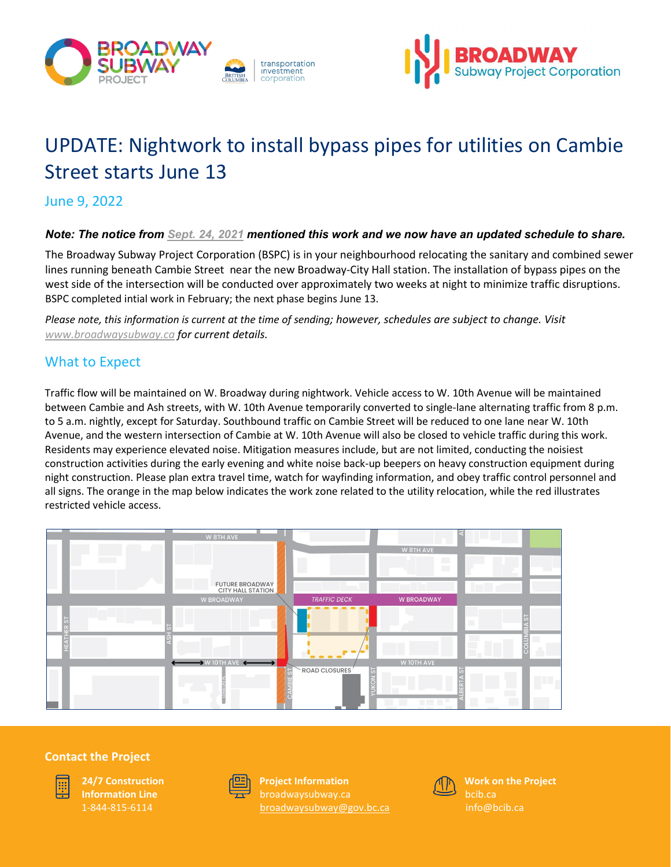



# UPDATE: Nightwork to install bypass pipes for utilities on Cambie Street starts June 13

June 9, 2022

### *Note: The notice from [Sept. 24, 2021](https://www.broadwaysubway.ca/app/uploads/sites/626/2021/10/BCH-Cambie-sewer-relocation-UPDATED-Sept24.pdf) mentioned this work and we now have an updated schedule to share.*

The Broadway Subway Project Corporation (BSPC) is in your neighbourhood relocating the sanitary and combined sewer lines running beneath Cambie Street near the new Broadway-City Hall station. The installation of bypass pipes on the west side of the intersection will be conducted over approximately two weeks at night to minimize traffic disruptions. BSPC completed intial work in February; the next phase begins June 13.

*Please note, this information is current at the time of sending; however, schedules are subject to change. Visit [www.broadwaysubway.ca f](http://www.broadwaysubway.caf/)or current details.*

## What to Expect

Traffic flow will be maintained on W. Broadway during nightwork. Vehicle access to W. 10th Avenue will be maintained between Cambie and Ash streets, with W. 10th Avenue temporarily converted to single-lane alternating traffic from 8 p.m. to 5 a.m. nightly, except for Saturday. Southbound traffic on Cambie Street will be reduced to one lane near W. 10th Avenue, and the western intersection of Cambie at W. 10th Avenue will also be closed to vehicle traffic during this work. Residents may experience elevated noise. Mitigation measures include, but are not limited, conducting the noisiest construction activities during the early evening and white noise back-up beepers on heavy construction equipment during night construction. Please plan extra travel time, watch for wayfinding information, and obey traffic control personnel and all signs. The orange in the map below indicates the work zone related to the utility relocation, while the red illustrates restricted vehicle access.



#### **Contact the Project**



**24/7 Construction Information Line** 1-844-815-6114



**Project Information** [broadwaysubway@gov.bc.ca](mailto:broadwaysubway@gov.bc.ca)



**Work on the Project** bcib.ca [info@bcib.ca](mailto:info@bcib.ca)